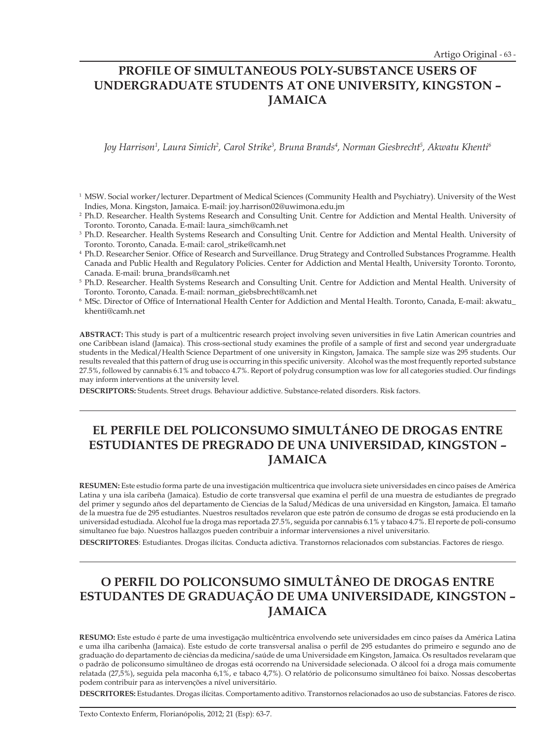# **PROFILE OF SIMULTANEOUS POLY-SUBSTANCE USERS OF UNDERGRADUATE STUDENTS AT ONE UNIVERSITY, KINGSTON – JAMAICA**

*Joy Harrison1 , Laura Simich2 , Carol Strike3 , Bruna Brands4 , Norman Giesbrecht5 , Akwatu Khenti6*

- <sup>1</sup> MSW. Social worker/lecturer. Department of Medical Sciences (Community Health and Psychiatry). University of the West Indies, Mona. Kingston, Jamaica. E-mail: joy.harrison02@uwimona.edu.jm
- <sup>2</sup> Ph.D. Researcher. Health Systems Research and Consulting Unit. Centre for Addiction and Mental Health. University of Toronto. Toronto, Canada. E-mail: laura\_simch@camh.net
- <sup>3</sup> Ph.D. Researcher. Health Systems Research and Consulting Unit. Centre for Addiction and Mental Health. University of Toronto. Toronto, Canada. E-mail: carol\_strike@camh.net
- 4 Ph.D. Researcher Senior. Office of Research and Surveillance. Drug Strategy and Controlled Substances Programme. Health Canada and Public Health and Regulatory Policies. Center for Addiction and Mental Health, University Toronto. Toronto, Canada. E-mail: bruna\_brands@camh.net
- <sup>5</sup> Ph.D. Researcher. Health Systems Research and Consulting Unit. Centre for Addiction and Mental Health. University of Toronto. Toronto, Canada. E-mail: norman\_giebsbrecht@camh.net
- 6 MSc. Director of Office of International Health Center for Addiction and Mental Health. Toronto, Canada, E-mail: akwatu\_ khenti@camh.net

**ABSTRACT:** This study is part of a multicentric research project involving seven universities in five Latin American countries and one Caribbean island (Jamaica). This cross-sectional study examines the profile of a sample of first and second year undergraduate students in the Medical/Health Science Department of one university in Kingston, Jamaica. The sample size was 295 students. Our results revealed that this pattern of drug use is occurring in this specific university. Alcohol was the most frequently reported substance 27.5%, followed by cannabis 6.1% and tobacco 4.7%. Report of polydrug consumption was low for all categories studied. Our findings may inform interventions at the university level.

**DESCRIPTORS:** Students. Street drugs. Behaviour addictive. Substance-related disorders. Risk factors.

# **EL PERFILE DEL POLICONSUMO SIMULTÁNEO DE DROGAS ENTRE ESTUDIANTES DE PREGRADO DE UNA UNIVERSIDAD, KINGSTON – JAMAICA**

**RESUMEN:** Este estudio forma parte de una investigación multicentrica que involucra siete universidades en cinco países de América Latina y una isla caribeña (Jamaica). Estudio de corte transversal que examina el perfil de una muestra de estudiantes de pregrado del primer y segundo años del departamento de Ciencias de la Salud/Médicas de una universidad en Kingston, Jamaica. El tamaño de la muestra fue de 295 estudiantes. Nuestros resultados revelaron que este patrón de consumo de drogas se está produciendo en la universidad estudiada. Alcohol fue la droga mas reportada 27.5%, seguida por cannabis 6.1% y tabaco 4.7%. Elreporte de poli-consumo simultaneo fue bajo. Nuestros hallazgos pueden contribuir a informar intervensiones a nivel universitario.

**DESCRIPTORES**: Estudiantes. Drogas ilícitas. Conducta adictiva. Transtornos relacionados com substancias. Factores de riesgo.

# **O PERFIL DO POLICONSUMO SIMULTÂNEO DE DROGAS ENTRE ESTUDANTES DE GRADUAÇÃO DE UMA UNIVERSIDADE, KINGSTON – JAMAICA**

**RESUMO:** Este estudo é parte de uma investigação multicêntrica envolvendo sete universidades em cinco países da América Latina e uma ilha caribenha (Jamaica). Este estudo de corte transversal analisa o perfil de 295 estudantes do primeiro e segundo ano de graduação do departamento de ciências da medicina/saúde de uma Universidade em Kingston, Jamaica. Os resultados revelaram que o padrão de policonsumo simultâneo de drogas está ocorrendo na Universidade selecionada. O álcool foi a droga mais comumente relatada (27,5%), seguida pela maconha 6,1%, e tabaco 4,7%). O relatório de policonsumo simultâneo foi baixo. Nossas descobertas podem contribuir para as intervenções a nível universitário.

**DESCRITORES:** Estudantes. Drogas ilícitas. Comportamento aditivo. Transtornos relacionados ao uso de substancias. Fatores de risco.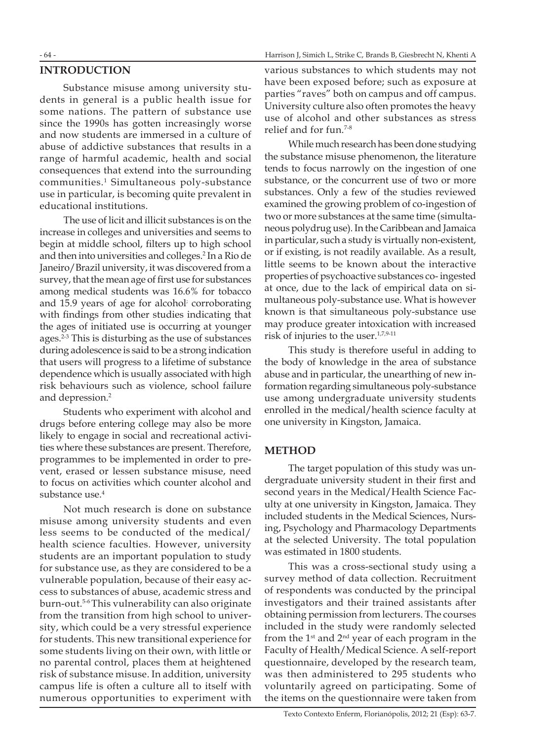## **INTRODUCTION**

Substance misuse among university students in general is a public health issue for some nations. The pattern of substance use since the 1990s has gotten increasingly worse and now students are immersed in a culture of abuse of addictive substances that results in a range of harmful academic, health and social consequences that extend into the surrounding communities.1 Simultaneous poly-substance use in particular, is becoming quite prevalent in educational institutions.

The use of licit and illicit substances is on the increase in colleges and universities and seems to begin at middle school, filters up to high school and then into universities and colleges.2 In a Rio de Janeiro/Brazil university, it was discovered from a survey, that the mean age of first use for substances among medical students was 16.6% for tobacco and 15.9 years of age for alcohol; corroborating with findings from other studies indicating that the ages of initiated use is occurring at younger ages.2-3 This is disturbing as the use of substances during adolescence is said to be a strong indication that users will progress to a lifetime of substance dependence which is usually associated with high risk behaviours such as violence, school failure and depression.2

Students who experiment with alcohol and drugs before entering college may also be more likely to engage in social and recreational activities where these substances are present. Therefore, programmes to be implemented in order to prevent, erased or lessen substance misuse, need to focus on activities which counter alcohol and substance use.<sup>4</sup>

Not much research is done on substance misuse among university students and even less seems to be conducted of the medical/ health science faculties. However, university students are an important population to study for substance use, as they are considered to be a vulnerable population, because of their easy access to substances of abuse, academic stress and burn-out.5-6This vulnerability can also originate from the transition from high school to university, which could be a very stressful experience for students. This new transitional experience for some students living on their own, with little or no parental control, places them at heightened risk of substance misuse. In addition, university campus life is often a culture all to itself with numerous opportunities to experiment with various substances to which students may not have been exposed before; such as exposure at parties "raves" both on campus and off campus. University culture also often promotes the heavy use of alcohol and other substances as stress relief and for fun.7-8

While much research has been done studying the substance misuse phenomenon, the literature tends to focus narrowly on the ingestion of one substance, or the concurrent use of two or more substances. Only a few of the studies reviewed examined the growing problem of co-ingestion of two or more substances at the same time (simultaneous polydrug use).In the Caribbean and Jamaica in particular, such a study is virtually non-existent, or if existing, is not readily available. As a result, little seems to be known about the interactive properties of psychoactive substances co- ingested at once, due to the lack of empirical data on simultaneous poly-substance use. What is however known is that simultaneous poly-substance use may produce greater intoxication with increased risk of injuries to the user.<sup>1,7,9-11</sup>

This study is therefore useful in adding to the body of knowledge in the area of substance abuse and in particular, the unearthing of new information regarding simultaneous poly-substance use among undergraduate university students enrolled in the medical/health science faculty at one university in Kingston, Jamaica.

#### **METHOD**

The target population of this study was undergraduate university student in their first and second years in the Medical/Health Science Faculty at one university in Kingston, Jamaica. They included students in the Medical Sciences, Nursing, Psychology and Pharmacology Departments at the selected University. The total population was estimated in 1800 students.

This was a cross-sectional study using a survey method of data collection. Recruitment of respondents was conducted by the principal investigators and their trained assistants after obtaining permission from lecturers. The courses included in the study were randomly selected from the  $1<sup>st</sup>$  and  $2<sup>nd</sup>$  year of each program in the Faculty of Health/Medical Science. A self-report questionnaire, developed by the research team, was then administered to 295 students who voluntarily agreed on participating. Some of the items on the questionnaire were taken from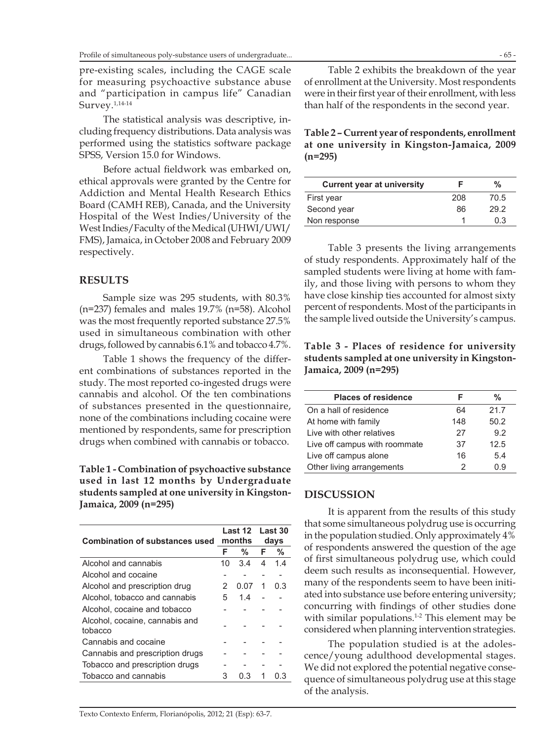pre-existing scales, including the CAGE scale for measuring psychoactive substance abuse and "participation in campus life" Canadian Survey.1,14-14

The statistical analysis was descriptive, including frequency distributions. Data analysis was performed using the statistics software package SPSS, Version 15.0 for Windows.

Before actual fieldwork was embarked on, ethical approvals were granted by the Centre for Addiction and Mental Health Research Ethics Board (CAMH REB), Canada, and the University Hospital of the West Indies/University of the West Indies/Faculty of the Medical (UHWI/UWI/ FMS), Jamaica, in October 2008 and February 2009 respectively.

## **RESULTS**

Sample size was 295 students, with 80.3% (n=237) females and males 19.7% (n=58). Alcohol was the most frequently reported substance 27.5% used in simultaneous combination with other drugs, followed by cannabis  $6.1\%$  and tobacco  $4.7\%$ .

Table 1 shows the frequency of the different combinations of substances reported in the study. The most reported co-ingested drugs were cannabis and alcohol. Of the ten combinations of substances presented in the questionnaire, none of the combinations including cocaine were mentioned by respondents, same for prescription drugs when combined with cannabis or tobacco.

**Table 1 - Combination of psychoactive substance used in last 12 months by Undergraduate students sampled at one university in Kingston-Jamaica, 2009 (n=295)**

| <b>Combination of substances used</b>     | Last 12<br>months |      | Last 30<br>days |     |
|-------------------------------------------|-------------------|------|-----------------|-----|
|                                           | F                 | %    | F               | %   |
| Alcohol and cannabis                      | 10                | 3.4  | 4               | 14  |
| Alcohol and cocaine                       |                   |      |                 |     |
| Alcohol and prescription drug             | 2                 | 0.07 | 1               | 0.3 |
| Alcohol, tobacco and cannabis             | 5                 | 14   |                 |     |
| Alcohol, cocaine and tobacco              |                   |      |                 |     |
| Alcohol, cocaine, cannabis and<br>tobacco |                   |      |                 |     |
| Cannabis and cocaine                      |                   |      |                 |     |
| Cannabis and prescription drugs           |                   |      |                 |     |
| Tobacco and prescription drugs            |                   |      |                 |     |
| Tobacco and cannabis                      | 3                 | 0.3  |                 | 0.3 |
|                                           |                   |      |                 |     |

Table 2 exhibits the breakdown of the year of enrollment at the University. Most respondents were in their first year of their enrollment, with less than half of the respondents in the second year.

#### **Table 2 – Current year of respondents, enrollment at one university in Kingston-Jamaica, 2009 (n=295)**

| <b>Current year at university</b> |     | %    |
|-----------------------------------|-----|------|
| First year                        | 208 | 70.5 |
| Second year                       | 86  | 29.2 |
| Non response                      |     | 0 3  |

Table 3 presents the living arrangements of study respondents. Approximately half of the sampled students were living at home with family, and those living with persons to whom they have close kinship ties accounted for almost sixty percent of respondents. Most of the participants in the sample lived outside the University's campus.

**Table 3 - Places of residence for university students sampled at one university in Kingston-Jamaica, 2009 (n=295)**

| <b>Places of residence</b>    |     | %    |
|-------------------------------|-----|------|
| On a hall of residence        | 64  | 21.7 |
| At home with family           | 148 | 50.2 |
| Live with other relatives     | 27  | 9.2  |
| Live off campus with roommate | 37  | 12.5 |
| Live off campus alone         | 16  | 5.4  |
| Other living arrangements     | 2   | ი 9  |

## **DISCUSSION**

It is apparent from the results of this study that some simultaneous polydrug use is occurring in the population studied. Only approximately 4% of respondents answered the question of the age of first simultaneous polydrug use, which could deem such results as inconsequential. However, many of the respondents seem to have been initiated into substance use before entering university; concurring with findings of other studies done with similar populations.<sup>1-2</sup> This element may be considered when planning intervention strategies.

The population studied is at the adolescence/young adulthood developmental stages. We did not explored the potential negative consequence of simultaneous polydrug use at this stage of the analysis.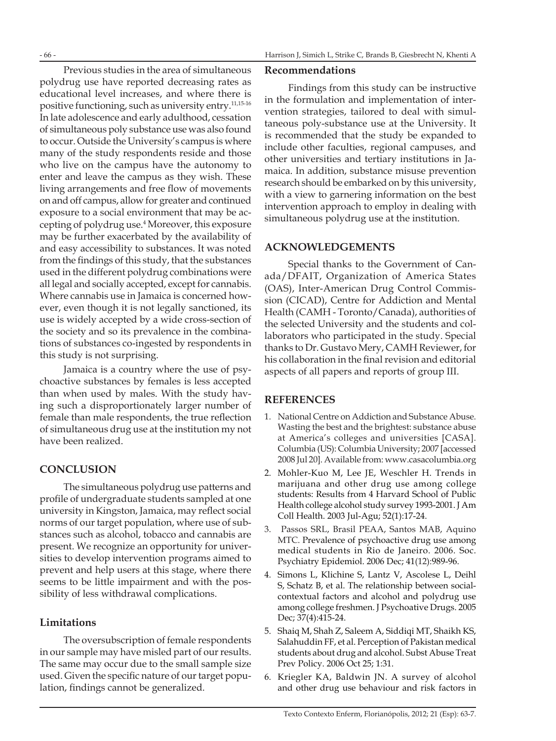Previous studies in the area of simultaneous polydrug use have reported decreasing rates as educational level increases, and where there is positive functioning, such as university entry.11,15-16 In late adolescence and early adulthood, cessation of simultaneous poly substance use was also found to occur. Outside the University's campus is where many of the study respondents reside and those who live on the campus have the autonomy to enter and leave the campus as they wish. These living arrangements and free flow of movements on and off campus, allow for greater and continued exposure to a social environment that may be accepting of polydrug use.4 Moreover, this exposure may be further exacerbated by the availability of and easy accessibility to substances. It was noted from the findings of this study, that the substances used in the different polydrug combinations were all legal and socially accepted, except for cannabis. Where cannabis use in Jamaica is concerned however, even though it is not legally sanctioned, its use is widely accepted by a wide cross-section of the society and so its prevalence in the combinations of substances co-ingested by respondents in this study is not surprising.

Jamaica is a country where the use of psychoactive substances by females is less accepted than when used by males. With the study having such a disproportionately larger number of female than male respondents, the true reflection of simultaneous drug use at the institution my not have been realized.

## **CONCLUSION**

The simultaneous polydrug use patterns and profile of undergraduate students sampled at one university in Kingston, Jamaica, may reflect social norms of our target population, where use of substances such as alcohol, tobacco and cannabis are present. We recognize an opportunity for universities to develop intervention programs aimed to prevent and help users at this stage, where there seems to be little impairment and with the possibility of less withdrawal complications.

## **Limitations**

The oversubscription of female respondents in our sample may have misled part of our results. The same may occur due to the small sample size used. Given the specific nature of our target population, findings cannot be generalized.

## **Recommendations**

Findings from this study can be instructive in the formulation and implementation of intervention strategies, tailored to deal with simultaneous poly-substance use at the University. It is recommended that the study be expanded to include other faculties, regional campuses, and other universities and tertiary institutions in Jamaica. In addition, substance misuse prevention research should be embarked on by this university, with a view to garnering information on the best intervention approach to employ in dealing with simultaneous polydrug use at the institution.

#### **Acknowledgements**

Special thanks to the Government of Canada/DFAIT, Organization of America States (OAS), Inter-American Drug Control Commission (CICAD), Centre for Addiction and Mental Health (CAMH - Toronto/Canada), authorities of the selected University and the students and collaborators who participated in the study. Special thanks to Dr. Gustavo Mery, CAMH Reviewer, for his collaboration in the final revision and editorial aspects of all papers and reports of group III.

## **REFERENCES**

- 1. National Centre on Addiction and Substance Abuse. Wasting the best and the brightest: substance abuse at America's colleges and universities [CASA]. Columbia (US): Columbia University; 2007 [accessed 2008 Jul 20]. Available from: www.casacolumbia.org
- 2. Mohler-Kuo M, Lee JE, Weschler H. Trends in marijuana and other drug use among college students: Results from 4 Harvard School of Public Health college alcohol study survey 1993-2001. J Am Coll Health. 2003 Jul-Agu; 52(1):17-24.
- 3. Passos SRL, Brasil PEAA, Santos MAB, Aquino MTC. Prevalence of psychoactive drug use among medical students in Rio de Janeiro. 2006. Soc. Psychiatry Epidemiol. 2006 Dec; 41(12):989-96.
- 4. Simons L, Klichine S, Lantz V, Ascolese L, Deihl S, Schatz B, et al. The relationship between socialcontextual factors and alcohol and polydrug use among college freshmen. J Psychoative Drugs. 2005 Dec; 37(4):415-24.
- 5. Shaiq M, Shah Z, Saleem A, Siddiqi MT, Shaikh KS, Salahuddin FF, et al. Perception of Pakistan medical students about drug and alcohol. Subst Abuse Treat Prev Policy. 2006 Oct 25; 1:31.
- 6. Kriegler KA, Baldwin JN. A survey of alcohol and other drug use behaviour and risk factors in